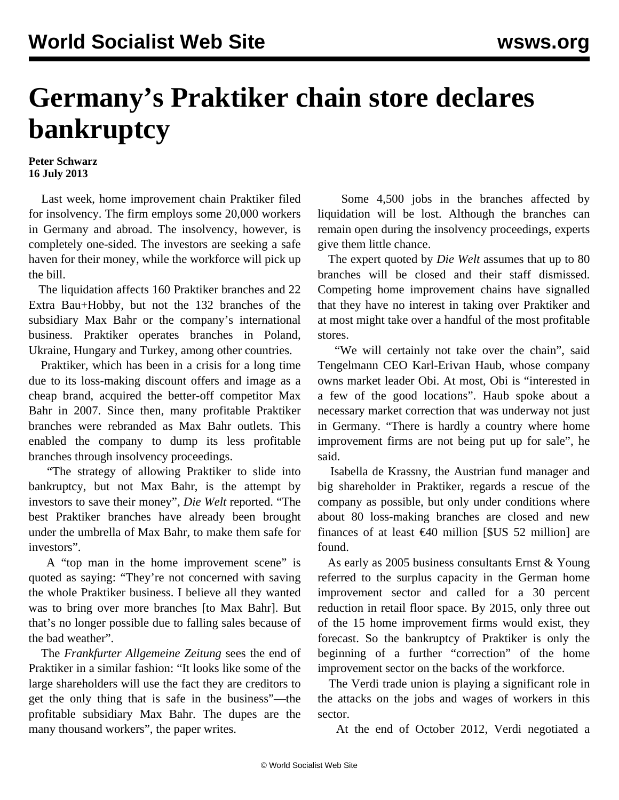## **Germany's Praktiker chain store declares bankruptcy**

## **Peter Schwarz 16 July 2013**

 Last week, home improvement chain Praktiker filed for insolvency. The firm employs some 20,000 workers in Germany and abroad. The insolvency, however, is completely one-sided. The investors are seeking a safe haven for their money, while the workforce will pick up the bill.

 The liquidation affects 160 Praktiker branches and 22 Extra Bau+Hobby, but not the 132 branches of the subsidiary Max Bahr or the company's international business. Praktiker operates branches in Poland, Ukraine, Hungary and Turkey, among other countries.

 Praktiker, which has been in a crisis for a long time due to its loss-making discount offers and image as a cheap brand, acquired the better-off competitor Max Bahr in 2007. Since then, many profitable Praktiker branches were rebranded as Max Bahr outlets. This enabled the company to dump its less profitable branches through insolvency proceedings.

 "The strategy of allowing Praktiker to slide into bankruptcy, but not Max Bahr, is the attempt by investors to save their money", *Die Welt* reported. "The best Praktiker branches have already been brought under the umbrella of Max Bahr, to make them safe for investors".

 A "top man in the home improvement scene" is quoted as saying: "They're not concerned with saving the whole Praktiker business. I believe all they wanted was to bring over more branches [to Max Bahr]. But that's no longer possible due to falling sales because of the bad weather".

 The *Frankfurter Allgemeine Zeitung* sees the end of Praktiker in a similar fashion: "It looks like some of the large shareholders will use the fact they are creditors to get the only thing that is safe in the business"—the profitable subsidiary Max Bahr. The dupes are the many thousand workers", the paper writes.

 Some 4,500 jobs in the branches affected by liquidation will be lost. Although the branches can remain open during the insolvency proceedings, experts give them little chance.

 The expert quoted by *Die Welt* assumes that up to 80 branches will be closed and their staff dismissed. Competing home improvement chains have signalled that they have no interest in taking over Praktiker and at most might take over a handful of the most profitable stores.

 "We will certainly not take over the chain", said Tengelmann CEO Karl-Erivan Haub, whose company owns market leader Obi. At most, Obi is "interested in a few of the good locations". Haub spoke about a necessary market correction that was underway not just in Germany. "There is hardly a country where home improvement firms are not being put up for sale", he said.

 Isabella de Krassny, the Austrian fund manager and big shareholder in Praktiker, regards a rescue of the company as possible, but only under conditions where about 80 loss-making branches are closed and new finances of at least  $\epsilon$ 40 million [\$US 52 million] are found.

 As early as 2005 business consultants Ernst & Young referred to the surplus capacity in the German home improvement sector and called for a 30 percent reduction in retail floor space. By 2015, only three out of the 15 home improvement firms would exist, they forecast. So the bankruptcy of Praktiker is only the beginning of a further "correction" of the home improvement sector on the backs of the workforce.

 The Verdi trade union is playing a significant role in the attacks on the jobs and wages of workers in this sector.

At the end of October 2012, Verdi negotiated a